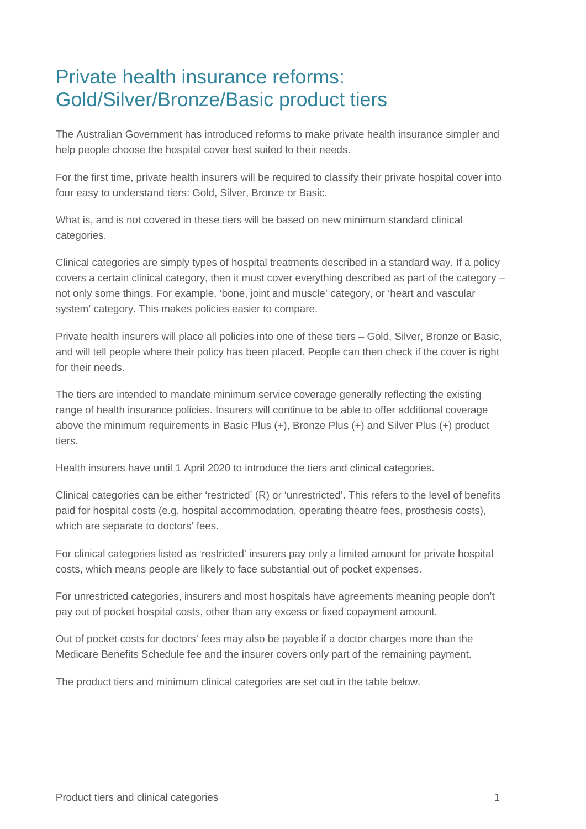## Private health insurance reforms: Gold/Silver/Bronze/Basic product tiers

The Australian Government has introduced reforms to make private health insurance simpler and help people choose the hospital cover best suited to their needs.

For the first time, private health insurers will be required to classify their private hospital cover into four easy to understand tiers: Gold, Silver, Bronze or Basic.

What is, and is not covered in these tiers will be based on new minimum standard clinical categories.

Clinical categories are simply types of hospital treatments described in a standard way. If a policy covers a certain clinical category, then it must cover everything described as part of the category – not only some things. For example, 'bone, joint and muscle' category, or 'heart and vascular system' category. This makes policies easier to compare.

Private health insurers will place all policies into one of these tiers – Gold, Silver, Bronze or Basic, and will tell people where their policy has been placed. People can then check if the cover is right for their needs.

The tiers are intended to mandate minimum service coverage generally reflecting the existing range of health insurance policies. Insurers will continue to be able to offer additional coverage above the minimum requirements in Basic Plus (+), Bronze Plus (+) and Silver Plus (+) product tiers.

Health insurers have until 1 April 2020 to introduce the tiers and clinical categories.

Clinical categories can be either 'restricted' (R) or 'unrestricted'. This refers to the level of benefits paid for hospital costs (e.g. hospital accommodation, operating theatre fees, prosthesis costs), which are separate to doctors' fees.

For clinical categories listed as 'restricted' insurers pay only a limited amount for private hospital costs, which means people are likely to face substantial out of pocket expenses.

For unrestricted categories, insurers and most hospitals have agreements meaning people don't pay out of pocket hospital costs, other than any excess or fixed copayment amount.

Out of pocket costs for doctors' fees may also be payable if a doctor charges more than the Medicare Benefits Schedule fee and the insurer covers only part of the remaining payment.

The product tiers and minimum clinical categories are set out in the table below.